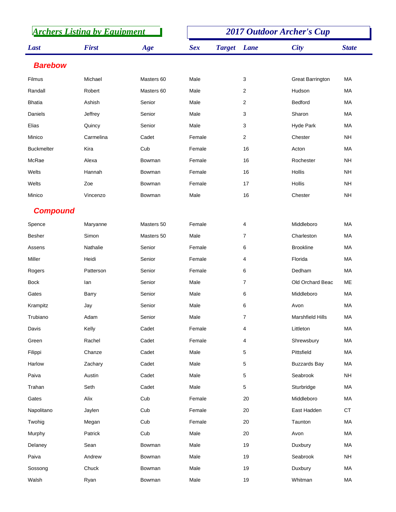| <b>Archers Listing by Equipment</b> |              |            | <b>2017 Outdoor Archer's Cup</b> |               |                |                         |              |
|-------------------------------------|--------------|------------|----------------------------------|---------------|----------------|-------------------------|--------------|
| Last                                | <b>First</b> | Age        | <b>Sex</b>                       | <b>Target</b> | Lane           | <b>City</b>             | <b>State</b> |
| <b>Barebow</b>                      |              |            |                                  |               |                |                         |              |
| Filmus                              | Michael      | Masters 60 | Male                             |               | 3              | <b>Great Barrington</b> | MA           |
| Randall                             | Robert       | Masters 60 | Male                             |               | $\overline{2}$ | Hudson                  | МA           |
| <b>Bhatia</b>                       | Ashish       | Senior     | Male                             |               | 2              | <b>Bedford</b>          | MA           |
| Daniels                             | Jeffrey      | Senior     | Male                             |               | 3              | Sharon                  | MA           |
| Elias                               | Quincy       | Senior     | Male                             |               | 3              | Hyde Park               | MA           |
| Minico                              | Carmelina    | Cadet      | Female                           |               | $\overline{2}$ | Chester                 | <b>NH</b>    |
| <b>Buckmelter</b>                   | Kira         | Cub        | Female                           |               | 16             | Acton                   | MA           |
| McRae                               | Alexa        | Bowman     | Female                           |               | 16             | Rochester               | <b>NH</b>    |
| Welts                               | Hannah       | Bowman     | Female                           |               | 16             | Hollis                  | <b>NH</b>    |
| Welts                               | Zoe          | Bowman     | Female                           |               | 17             | Hollis                  | <b>NH</b>    |
| Minico                              | Vincenzo     | Bowman     | Male                             |               | 16             | Chester                 | <b>NH</b>    |
| <b>Compound</b>                     |              |            |                                  |               |                |                         |              |
| Spence                              | Maryanne     | Masters 50 | Female                           |               | 4              | Middleboro              | MA           |
| Besher                              | Simon        | Masters 50 | Male                             |               | $\overline{7}$ | Charleston              | MA           |
| Assens                              | Nathalie     | Senior     | Female                           |               | 6              | <b>Brookline</b>        | MA           |
| Miller                              | Heidi        | Senior     | Female                           |               | 4              | Florida                 | МA           |
| Rogers                              | Patterson    | Senior     | Female                           |               | 6              | Dedham                  | MA           |
| <b>Bock</b>                         | lan          | Senior     | Male                             |               | $\overline{7}$ | Old Orchard Beac        | МE           |
| Gates                               | <b>Barry</b> | Senior     | Male                             |               | 6              | Middleboro              | <b>MA</b>    |
| Krampitz                            | Jay          | Senior     | Male                             |               | 6              | Avon                    | МA           |
| Trubiano                            | Adam         | Senior     | Male                             |               | $\overline{7}$ | Marshfield Hills        | MA           |
| Davis                               | Kelly        | Cadet      | Female                           |               | 4              | Littleton               | MA           |
| Green                               | Rachel       | Cadet      | Female                           |               | 4              | Shrewsbury              | МA           |
| Filippi                             | Chanze       | Cadet      | Male                             |               | 5              | Pittsfield              | MA           |
| Harlow                              | Zachary      | Cadet      | Male                             |               | 5              | <b>Buzzards Bay</b>     | МA           |
| Paiva                               | Austin       | Cadet      | Male                             |               | 5              | Seabrook                | <b>NH</b>    |
| Trahan                              | Seth         | Cadet      | Male                             |               | 5              | Sturbridge              | MA           |
| Gates                               | Alix         | Cub        | Female                           |               | $20\,$         | Middleboro              | MA           |
| Napolitano                          | Jaylen       | Cub        | Female                           |               | 20             | East Hadden             | CT           |
| Twohig                              | Megan        | Cub        | Female                           |               | $20\,$         | Taunton                 | MA           |
| Murphy                              | Patrick      | Cub        | Male                             |               | 20             | Avon                    | MA           |
| Delaney                             | Sean         | Bowman     | Male                             |               | 19             | Duxbury                 | MA           |
| Paiva                               | Andrew       | Bowman     | Male                             |               | 19             | Seabrook                | <b>NH</b>    |
| Sossong                             | Chuck        | Bowman     | Male                             |               | 19             | Duxbury                 | MA           |
| Walsh                               | Ryan         | Bowman     | Male                             |               | 19             | Whitman                 | МA           |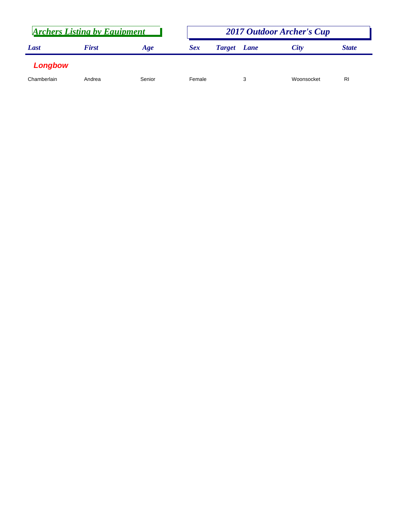| <b>Archers Listing by Equipment</b> |              |        |            | <b>2017 Outdoor Archer's Cup</b> |             |            |              |  |
|-------------------------------------|--------------|--------|------------|----------------------------------|-------------|------------|--------------|--|
| Last                                | <b>First</b> | Age    | <b>Sex</b> | <b>Target</b>                    | <b>Lane</b> | City       | <b>State</b> |  |
| Longbow                             |              |        |            |                                  |             |            |              |  |
| Chamberlain                         | Andrea       | Senior | Female     |                                  |             | Woonsocket | RI           |  |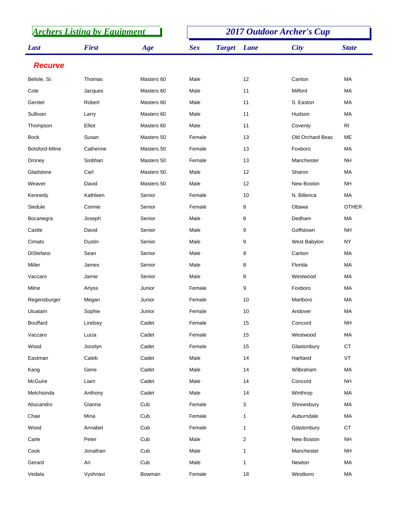| <b>Archers Listing by Equipment</b> |              |            | <b>2017 Outdoor Archer's Cup</b> |               |                |                  |                |
|-------------------------------------|--------------|------------|----------------------------------|---------------|----------------|------------------|----------------|
| Last                                | <b>First</b> | Age        | <b>Sex</b>                       | <b>Target</b> | <b>Lane</b>    | <b>City</b>      | <b>State</b>   |
| <b>Recurve</b>                      |              |            |                                  |               |                |                  |                |
| Belisle, Sr.                        | Thomas       | Masters 60 | Male                             |               | 12             | Canton           | MA             |
| Cote                                | Jacques      | Masters 60 | Male                             |               | 11             | Milford          | МA             |
| Gerstel                             | Robert       | Masters 60 | Male                             |               | 11             | S. Easton        | MA             |
| Sullivan                            | Larry        | Masters 60 | Male                             |               | 11             | Hudson           | МA             |
| Thompson                            | Elliot       | Masters 60 | Male                             |               | 11             | Coventy          | R <sub>l</sub> |
| <b>Bock</b>                         | Susan        | Masters 50 | Female                           |               | 13             | Old Orchard Beac | <b>ME</b>      |
| Botsford-Milne                      | Catherine    | Masters 50 | Female                           |               | 13             | Foxboro          | MA             |
| Droney                              | Siobhan      | Masters 50 | Female                           |               | 13             | Manchester       | <b>NH</b>      |
| Gladstone                           | Carl         | Masters 50 | Male                             |               | 12             | Sharon           | MA             |
| Weaver                              | David        | Masters 50 | Male                             |               | 12             | New Boston       | <b>NH</b>      |
| Kennedy                             | Kathleen     | Senior     | Female                           |               | 10             | N. Billerica     | <b>MA</b>      |
| Siedule                             | Connie       | Senior     | Female                           |               | 9              | Ottawa           | <b>OTHER</b>   |
| Bocanegra                           | Joseph       | Senior     | Male                             |               | 8              | Dedham           | <b>MA</b>      |
| Castle                              | David        | Senior     | Male                             |               | 9              | Goffstown        | <b>NH</b>      |
| Cimato                              | Dustin       | Senior     | Male                             |               | 9              | West Babylon     | <b>NY</b>      |
| <b>DiStefano</b>                    | Sean         | Senior     | Male                             |               | 8              | Canton           | <b>MA</b>      |
| Miller                              | James        | Senior     | Male                             |               | 8              | Florida          | MA             |
| Vaccaro                             | Jamie        | Senior     | Male                             |               | 8              | Westwood         | МA             |
| Milne                               | Arlyss       | Junior     | Female                           |               | 9              | Foxboro          | MA             |
| Regensburger                        | Megan        | Junior     | Female                           |               | 10             | Marlboro         | МA             |
| Uluatam                             | Sophie       | Junior     | Female                           |               | 10             | Andover          | MA             |
| <b>Bouffard</b>                     | Lindsey      | Cadet      | Female                           |               | 15             | Concord          | <b>NH</b>      |
| Vaccaro                             | Lucia        | Cadet      | Female                           |               | 15             | Westwood         | MA             |
| Wood                                | Jocelyn      | Cadet      | Female                           |               | 15             | Glastonbury      | CT             |
| Eastman                             | Caleb        | Cadet      | Male                             |               | 14             | Hartland         | VT             |
| Kang                                | Gene         | Cadet      | Male                             |               | 14             | Wilbraham        | MA             |
| McGuire                             | Liam         | Cadet      | Male                             |               | 14             | Concord          | <b>NH</b>      |
| Melchionda                          | Anthony      | Cadet      | Male                             |               | 14             | Winthrop         | MA             |
| Aliucandro                          | Gianna       | Cub        | Female                           |               | 3              | Shrewsbury       | МA             |
| Chae                                | Mina         | Cub        | Female                           |               | $\mathbf{1}$   | Auburndale       | MA             |
| Wood                                | Annabel      | Cub        | Female                           |               | $\mathbf{1}$   | Glastonbury      | <b>CT</b>      |
| Carle                               | Peter        | Cub        | Male                             |               | $\overline{2}$ | New Boston       | <b>NH</b>      |
| Cook                                | Jonathan     | Cub        | Male                             |               | 1              | Manchester       | <b>NH</b>      |
| Gerard                              | Ari          | Cub        | Male                             |               | 1              | Newton           | MA             |
| Vedala                              | Vyshnavi     | Bowman     | Female                           |               | 18             | Westboro         | MA             |